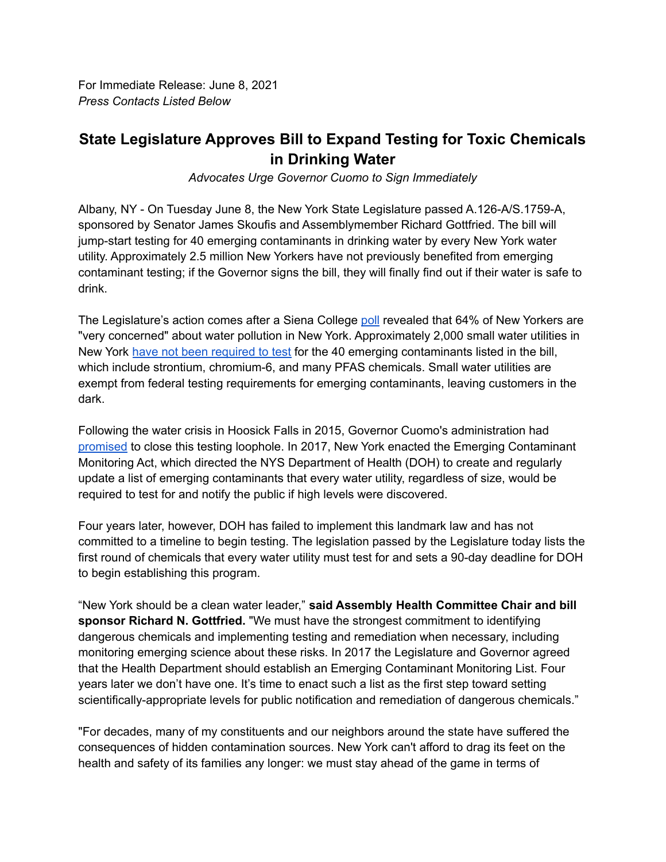For Immediate Release: June 8, 2021 *Press Contacts Listed Below*

## **State Legislature Approves Bill to Expand Testing for Toxic Chemicals in Drinking Water**

*Advocates Urge Governor Cuomo to Sign Immediately*

Albany, NY - On Tuesday June 8, the New York State Legislature passed A.126-A/S.1759-A, sponsored by Senator James Skoufis and Assemblymember Richard Gottfried. The bill will jump-start testing for 40 emerging contaminants in drinking water by every New York water utility. Approximately 2.5 million New Yorkers have not previously benefited from emerging contaminant testing; if the Governor signs the bill, they will finally find out if their water is safe to drink.

The Legislature's action comes after a Siena College [poll](https://scri.siena.edu/2021/04/20/majority-of-nyers-very-concerned-with-water-pollution-air-pollution-deforestation-climate-change/) revealed that 64% of New Yorkers are "very concerned" about water pollution in New York. Approximately 2,000 small water utilities in New York have not been [required](https://www.nypirg.org/pubs/201905/Whats_in_my_water_2019.pdf) to test for the 40 emerging contaminants listed in the bill, which include strontium, chromium-6, and many PFAS chemicals. Small water utilities are exempt from federal testing requirements for emerging contaminants, leaving customers in the dark.

Following the water crisis in Hoosick Falls in 2015, Governor Cuomo's administration had [promised](https://www.health.ny.gov/press/releases/2016/docs/ucmr_letter.pdf) to close this testing loophole. In 2017, New York enacted the Emerging Contaminant Monitoring Act, which directed the NYS Department of Health (DOH) to create and regularly update a list of emerging contaminants that every water utility, regardless of size, would be required to test for and notify the public if high levels were discovered.

Four years later, however, DOH has failed to implement this landmark law and has not committed to a timeline to begin testing. The legislation passed by the Legislature today lists the first round of chemicals that every water utility must test for and sets a 90-day deadline for DOH to begin establishing this program.

"New York should be a clean water leader," **said Assembly Health Committee Chair and bill sponsor Richard N. Gottfried.** "We must have the strongest commitment to identifying dangerous chemicals and implementing testing and remediation when necessary, including monitoring emerging science about these risks. In 2017 the Legislature and Governor agreed that the Health Department should establish an Emerging Contaminant Monitoring List. Four years later we don't have one. It's time to enact such a list as the first step toward setting scientifically-appropriate levels for public notification and remediation of dangerous chemicals."

"For decades, many of my constituents and our neighbors around the state have suffered the consequences of hidden contamination sources. New York can't afford to drag its feet on the health and safety of its families any longer: we must stay ahead of the game in terms of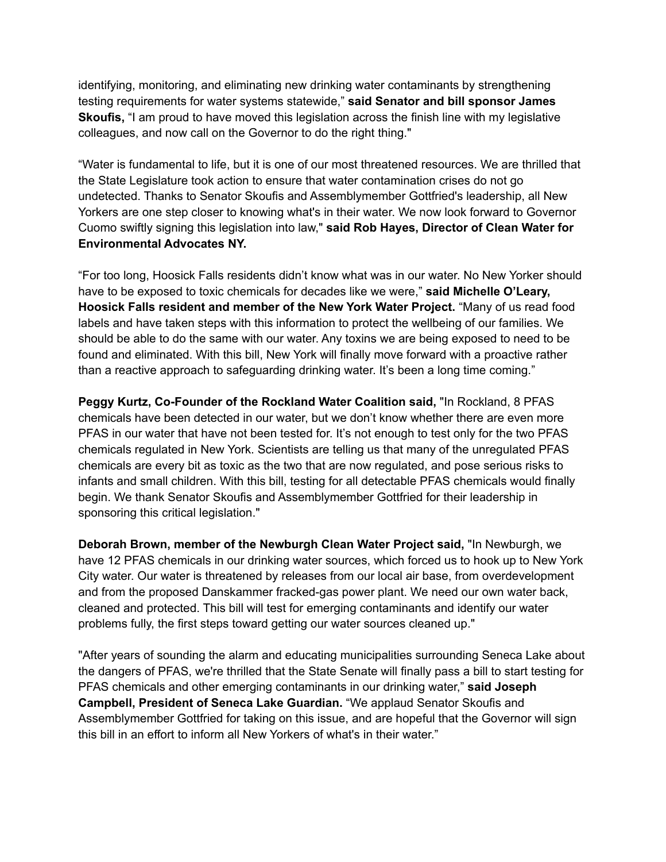identifying, monitoring, and eliminating new drinking water contaminants by strengthening testing requirements for water systems statewide," **said Senator and bill sponsor James Skoufis,** "I am proud to have moved this legislation across the finish line with my legislative colleagues, and now call on the Governor to do the right thing."

"Water is fundamental to life, but it is one of our most threatened resources. We are thrilled that the State Legislature took action to ensure that water contamination crises do not go undetected. Thanks to Senator Skoufis and Assemblymember Gottfried's leadership, all New Yorkers are one step closer to knowing what's in their water. We now look forward to Governor Cuomo swiftly signing this legislation into law," **said Rob Hayes, Director of Clean Water for Environmental Advocates NY.**

"For too long, Hoosick Falls residents didn't know what was in our water. No New Yorker should have to be exposed to toxic chemicals for decades like we were," **said Michelle O'Leary, Hoosick Falls resident and member of the New York Water Project.** "Many of us read food labels and have taken steps with this information to protect the wellbeing of our families. We should be able to do the same with our water. Any toxins we are being exposed to need to be found and eliminated. With this bill, New York will finally move forward with a proactive rather than a reactive approach to safeguarding drinking water. It's been a long time coming."

**Peggy Kurtz, Co-Founder of the Rockland Water Coalition said,** "In Rockland, 8 PFAS chemicals have been detected in our water, but we don't know whether there are even more PFAS in our water that have not been tested for. It's not enough to test only for the two PFAS chemicals regulated in New York. Scientists are telling us that many of the unregulated PFAS chemicals are every bit as toxic as the two that are now regulated, and pose serious risks to infants and small children. With this bill, testing for all detectable PFAS chemicals would finally begin. We thank Senator Skoufis and Assemblymember Gottfried for their leadership in sponsoring this critical legislation."

**Deborah Brown, member of the Newburgh Clean Water Project said,** "In Newburgh, we have 12 PFAS chemicals in our drinking water sources, which forced us to hook up to New York City water. Our water is threatened by releases from our local air base, from overdevelopment and from the proposed Danskammer fracked-gas power plant. We need our own water back, cleaned and protected. This bill will test for emerging contaminants and identify our water problems fully, the first steps toward getting our water sources cleaned up."

"After years of sounding the alarm and educating municipalities surrounding Seneca Lake about the dangers of PFAS, we're thrilled that the State Senate will finally pass a bill to start testing for PFAS chemicals and other emerging contaminants in our drinking water," **said Joseph Campbell, President of Seneca Lake Guardian.** "We applaud Senator Skoufis and Assemblymember Gottfried for taking on this issue, and are hopeful that the Governor will sign this bill in an effort to inform all New Yorkers of what's in their water."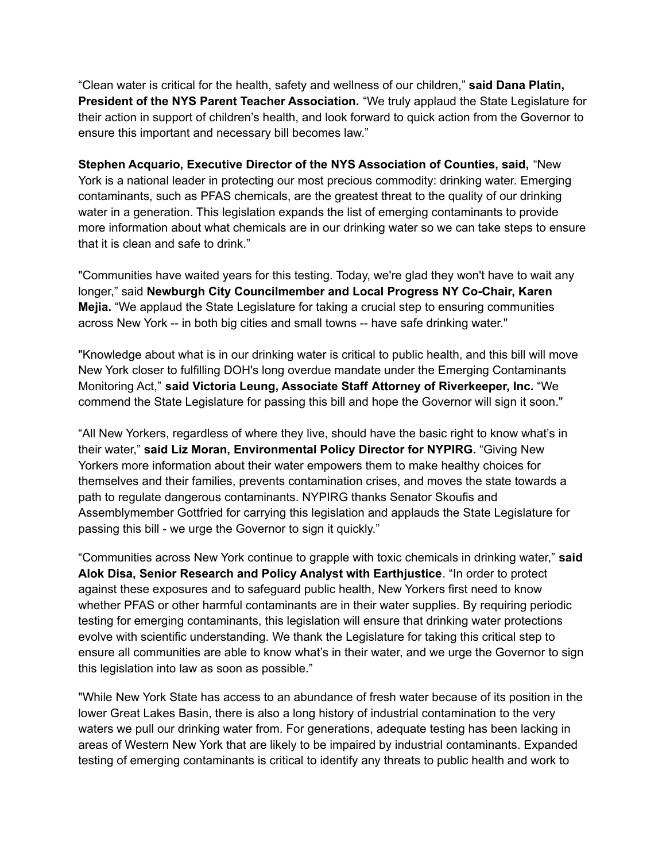"Clean water is critical for the health, safety and wellness of our children," **said Dana Platin, President of the NYS Parent Teacher Association.** "We truly applaud the State Legislature for their action in support of children's health, and look forward to quick action from the Governor to ensure this important and necessary bill becomes law."

**Stephen Acquario, Executive Director of the NYS Association of Counties, said,** "New York is a national leader in protecting our most precious commodity: drinking water. Emerging contaminants, such as PFAS chemicals, are the greatest threat to the quality of our drinking water in a generation. This legislation expands the list of emerging contaminants to provide more information about what chemicals are in our drinking water so we can take steps to ensure that it is clean and safe to drink."

"Communities have waited years for this testing. Today, we're glad they won't have to wait any longer," said **Newburgh City Councilmember and Local Progress NY Co-Chair, Karen Mejia.** "We applaud the State Legislature for taking a crucial step to ensuring communities across New York -- in both big cities and small towns -- have safe drinking water."

"Knowledge about what is in our drinking water is critical to public health, and this bill will move New York closer to fulfilling DOH's long overdue mandate under the Emerging Contaminants Monitoring Act," **said Victoria Leung, Associate Staff Attorney of Riverkeeper, Inc.** "We commend the State Legislature for passing this bill and hope the Governor will sign it soon."

"All New Yorkers, regardless of where they live, should have the basic right to know what's in their water," **said Liz Moran, Environmental Policy Director for NYPIRG.** "Giving New Yorkers more information about their water empowers them to make healthy choices for themselves and their families, prevents contamination crises, and moves the state towards a path to regulate dangerous contaminants. NYPIRG thanks Senator Skoufis and Assemblymember Gottfried for carrying this legislation and applauds the State Legislature for passing this bill - we urge the Governor to sign it quickly."

"Communities across New York continue to grapple with toxic chemicals in drinking water," **said Alok Disa, Senior Research and Policy Analyst with Earthjustice**. "In order to protect against these exposures and to safeguard public health, New Yorkers first need to know whether PFAS or other harmful contaminants are in their water supplies. By requiring periodic testing for emerging contaminants, this legislation will ensure that drinking water protections evolve with scientific understanding. We thank the Legislature for taking this critical step to ensure all communities are able to know what's in their water, and we urge the Governor to sign this legislation into law as soon as possible."

"While New York State has access to an abundance of fresh water because of its position in the lower Great Lakes Basin, there is also a long history of industrial contamination to the very waters we pull our drinking water from. For generations, adequate testing has been lacking in areas of Western New York that are likely to be impaired by industrial contaminants. Expanded testing of emerging contaminants is critical to identify any threats to public health and work to